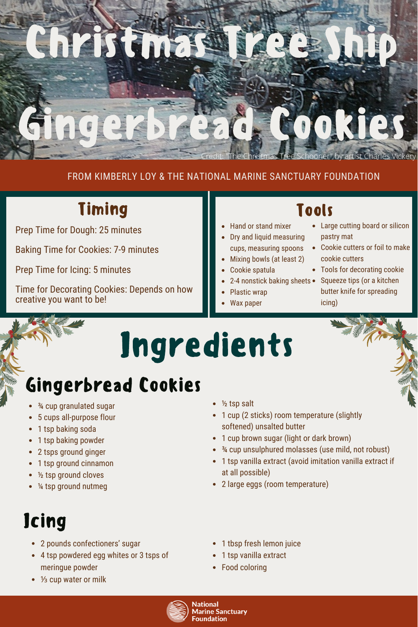

#### FROM KIMBERLY LOY & THE NATIONAL MARINE SANCTUARY FOUNDATION

## Timing

Prep Time for Dough: 25 minutes

Baking Time for Cookies: 7-9 minutes

Prep Time for Icing: 5 minutes

Time for Decorating Cookies: Depends on how creative you want to be!

### Tools

- Hand or stand mixer
- Dry and liquid measuring cups, measuring spoons
- Mixing bowls (at least 2)
- Cookie spatula
- 
- Plastic wrap
- Wax paper

#### Large cutting board or silicon pastry mat

- Cookie cutters or foil to make cookie cutters
- Tools for decorating cookie
- 2-4 nonstick baking sheets Squeeze tips (or a kitchen butter knife for spreading icing)

# Ingredients

## Gingerbread Cookies

- ¾ cup granulated sugar
- 5 cups all-purpose flour
- 1 tsp baking soda
- 1 tsp baking powder
- 2 tsps ground ginger
- 1 tsp ground cinnamon
- ½ tsp ground cloves
- ¼ tsp ground nutmeg

# **Jcing**

- 2 pounds confectioners' sugar
- 4 tsp powdered egg whites or 3 tsps of meringue powder
- 1/<sub>3</sub> cup water or milk
- ½ tsp salt
- 1 cup (2 sticks) room temperature (slightly softened) unsalted butter
- 1 cup brown sugar (light or dark brown)
- ¾ cup unsulphured molasses (use mild, not robust)
- 1 tsp vanilla extract (avoid imitation vanilla extract if at all possible)
- 2 large eggs (room temperature)
- 1 tbsp fresh lemon juice
- 1 tsp vanilla extract
- Food coloring